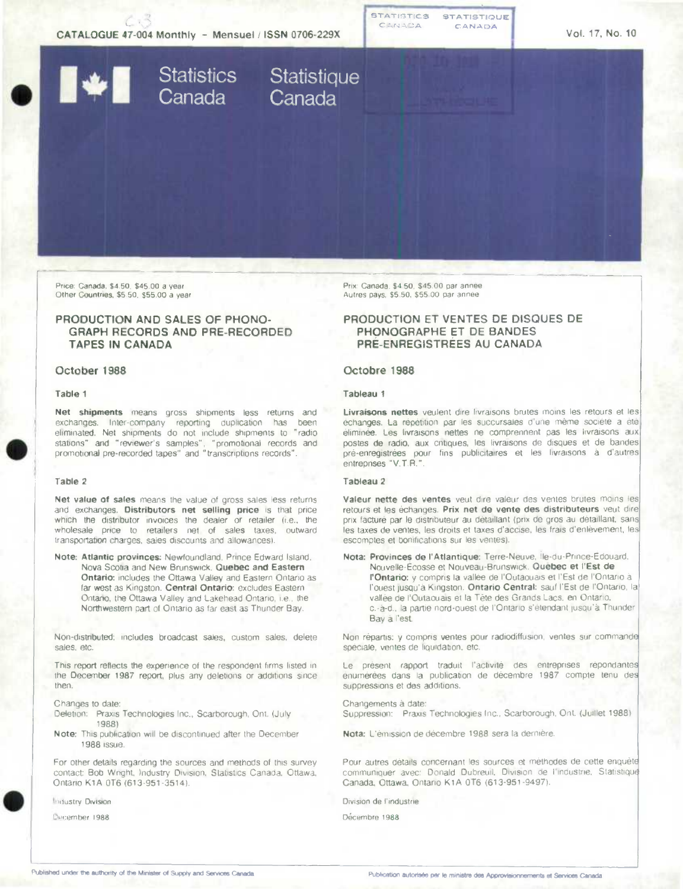

Price: Canada, \$4.50, \$45.00 a year Other Countries. \$5 50. \$55.00 a year

# **PRODUCTION AND SALES OF PHONO-GRAPH RECORDS AND PRE-RECORDED TAPES IN CANADA**

### **October 1988**

#### **Table** <sup>1</sup>

**Net shipments** means gross shipments less returns and exchanges. Inter-company reporting duplication has been eliminated. Net shipments do not include shipments to "radio stations" and "reviewer's samples", "promotional records and promotional pre-recorded tapes" and transcriptions records'.

#### **Table 2**

**Net value of sales** means the value of gross sales less returns and exchanges. Distributors net selling price is that price which the distributor invoices the dealer or retailer (i.e., the wholesale price to retailers net of sales taxes, outward transportation charges, sales discounts and allowances).

**Note: Atlantic provinces:** Newfoundland. Prince Edward Island. Nova Scotia and New Brunswick. **Quebec and Eastern Ontario:** includes the Ottawa Valley and Eastern Ontario as far west as Kingston. Central **Ontario:** excludes Eastern Ontario, the Ottawa Valley and Lakehead Ontario, i.e.. the Northwestern part of Ontario as far east as Thunder Bay.

Non-distributed: includes broadcast sales, custom sales, delete sales. etc.

This report reflects the experience of the respondent firms listed in the December 1987 report, plus any deletions or additions since then.

Changes to date:

- Deletion: Praxis Technologies Inc., Scarborough, Ont. (July 1983)
- Note: This publication will be discontinued after the December 1988 issue.

For other details regarding the sources and methods of this survey contact: Bob Wright, Industry Division, Statistics Canada, Ottawa, Ontario K1A 016 (613-951-3514).

**Industry Division** 

cember **1988** 

Prix: Canada. \$4 50, \$45.00 par année Autres pays, \$5 50, \$55 00 par annee

# **PRODUCTION ET VENTES DE DISQUES DE PHONOGRAPHE ET DE BANDES PRE-ENREGISTREES AU CANADA**

#### **Octobre 1988**

#### **Tableau** <sup>1</sup>

Livraisons nettes veulent dire livraisons brutes moins les retours et les échanges. La répétition par les succursales d'une même société a été éliminée. Les livraisons nettes ne comprennent pas les livraisons aux postes de radio, aux cntiques, les livraisons de disques et de bandes pré-enregistrées pour fins publicitaires et les livraisons à d'autres entrepnses 'V.T.R.".

## **Tableau 2**

Valeur nette des ventes veut dire valeur des ventes brutes moins les retours et les échanges. Prix net de vente des distributeurs veut dire prix facturé par le distributeur au détaillant (prix de gros au détaillant, sans les taxes de ventes, les droits et taxes d'accise, les frais d'enlèvement, les escomptes et bonifications sur les ventes).

**Nota: Provinces do** l'Atlantique: Terre-Neuve, Ie-du-Prince-Edouard, Nouvelle-Ecosse et Nouveau-Brunswick. Quebec et VEst de **r'Ontario:** y compris la vallée de l'Outaouais et l'Est de l'Ontario à l'ouest jusqu'à Kingston. Ontario Central: sauf l'Est de l'Ontario, la vallée de I'Outaouais et Ia Tête des Grands Lacs, en Ontario. c. -à-d., la partie nord-ouest de l'Ontario s'étendant jusqu'à Thunder. Bay a l'est.

Non répartis: y compris ventes pour radiodiffusion, ventes sur commande spéciale, ventes de liquidation, etc.

Le présent rapport traduit l'activité des entreprises répondantes enumérées dans Ia publication de décembre 1987 compte tenu suppressions et des additions.

Changements à date: Suppression: Praxis Technologies Inc., Scarborough. Ont. (Juillet 1988)

Nota: L'émission de décembre 1988 sera Ia dernière.

Pour autres détails concernant les sources et méthodes de cette enquête communiquer avec: Donald Dubreuil, Division de l'industrie, Statistique Canada, Ottawa, Ontario K1A 0T6 (613-951-9497).

Division de l'industrie

Décembre 1988